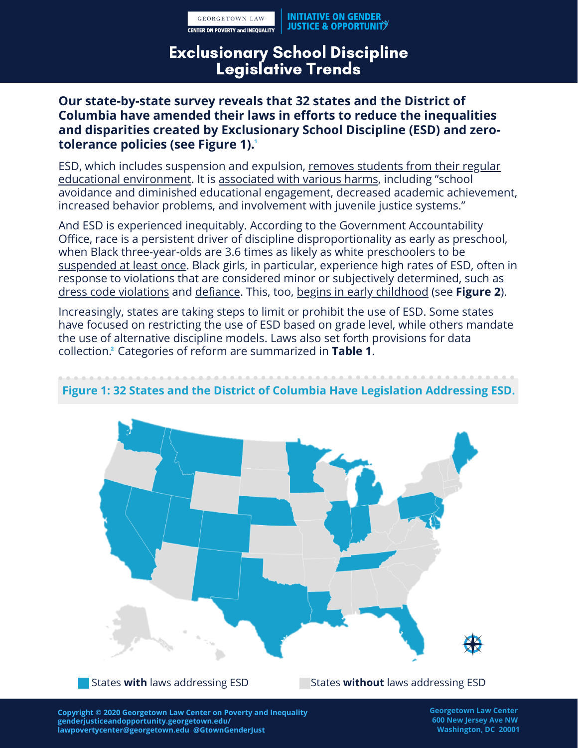**GEORGETOWN LAW CENTER ON POVERTY and INEQUALITY** 

# Exclusionary School Discipline Legislative Trends

## **Our state-by-state survey reveals that 32 states and the District of Columbia have amended their laws in efforts to reduce the inequalities and disparities created by Exclusionary School Discipline (ESD) and zerotolerance policies (see Figure 1). 1**

[ESD, which includes suspension and expulsion, removes students from their regular](https://supportiveschooldiscipline.org/learn/reference-guides/exclusionary-discipline) educational environment. It is [associated with various harms,](https://www.apha.org/policies-and-advocacy/public-health-policy-statements/policy-database/2017/01/13/social-determinants-and-graduation) including "school avoidance and diminished educational engagement, decreased academic achievement, increased behavior problems, and involvement with juvenile justice systems."

And ESD is experienced inequitably. According to the Government Accountability Office, race is a persistent driver of discipline disproportionality as early as preschool, when Black three-year-olds are 3.6 times as likely as white preschoolers to be [suspended at least once](https://www.gao.gov/products/GAO-18-258). Black girls, in particular, experience high rates of ESD, often in response to violations that are considered minor or subjectively determined, such as [dress code violations](https://kappanonline.org/pavlakis-roegman-dress-codes-gender-race-discrimination/) and [defiance](https://www.researchgate.net/publication/23664174_The_discipline_gap_and_African_Americans_Defiance_or_cooperation_in_the_high_school_classroom). This, too, [begins in early childhood](https://nwlc-ciw49tixgw5lbab.stackpathdns.com/wp-content/uploads/2017/04/final_nwlc_Gates_GirlsofColor.pdf) (see **Figure 2**).

Increasingly, states are taking steps to limit or prohibit the use of ESD. Some states have focused on restricting the use of ESD based on grade level, while others mandate the use of alternative discipline models. Laws also set forth provisions for data collection.<del>'</del> Categories of reform are summarized in **Table 1**.



## **Figure 1: 32 States and the District of Columbia Have Legislation Addressing ESD.**

**States with laws addressing ESD** 

States **without** laws addressing ESD

**Copyright © 2020 Georgetown Law Center on Poverty and Inequality genderjusticeandopportunity.georgetown.edu/ lawpovertycenter@georgetown.edu @GtownGenderJust**

**Georgetown Law Center 600 New Jersey Ave NW Washington, DC 20001**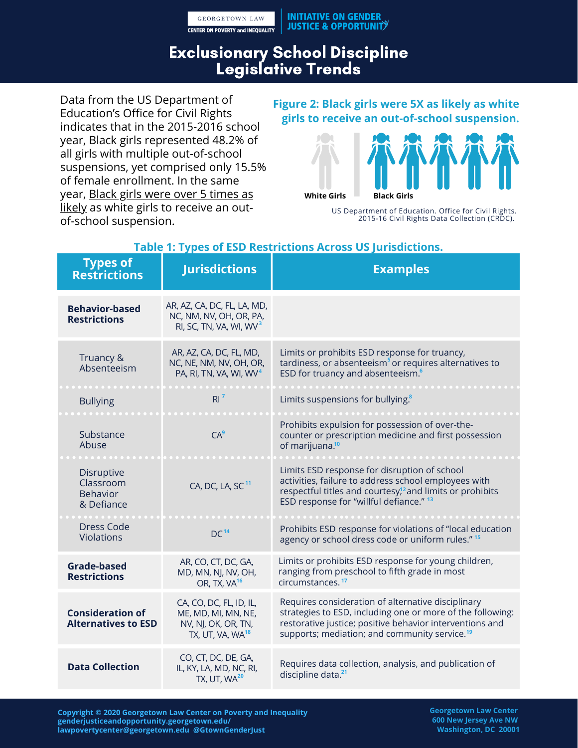**GEORGETOWN LAW CENTER ON POVERTY and INEQUALITY** 

# Exclusionary School Discipline Legislative Trends

Data from the US Department of Education's Office for Civil Rights indicates that in the 2015-2016 school year, Black girls represented 48.2% of all girls with multiple out-of-school suspensions, yet comprised only 15.5% of female enrollment. In the same [year, Black girls were over 5 times as](https://www2.ed.gov/about/offices/list/ocr/docs/crdc-2015-16.html) likely as white girls to receive an outof-school suspension.

#### **Figure 2: Black girls were 5X as likely as white girls to receive an out-of-school suspension.**



US Department of Education. Office for Civil Rights. 2015-16 Civil Rights Data Collection (CRDC).

| <b>Types of</b><br><b>Restrictions</b>                   | <b>Jurisdictions</b>                                                                                  | <b>Examples</b>                                                                                                                                                                                                                           |
|----------------------------------------------------------|-------------------------------------------------------------------------------------------------------|-------------------------------------------------------------------------------------------------------------------------------------------------------------------------------------------------------------------------------------------|
| <b>Behavior-based</b><br><b>Restrictions</b>             | AR, AZ, CA, DC, FL, LA, MD,<br>NC, NM, NV, OH, OR, PA,<br>RI, SC, TN, VA, WI, WV <sup>3</sup>         |                                                                                                                                                                                                                                           |
| Truancy &<br>Absenteeism                                 | AR, AZ, CA, DC, FL, MD,<br>NC, NE, NM, NV, OH, OR,<br>PA, RI, TN, VA, WI, WV <sup>4</sup>             | Limits or prohibits ESD response for truancy,<br>tardiness, or absenteeism <sup>5</sup> or requires alternatives to<br>ESD for truancy and absenteeism. <sup>6</sup>                                                                      |
| <b>Bullying</b>                                          | $RI^7$                                                                                                | Limits suspensions for bullying. <sup>8</sup>                                                                                                                                                                                             |
| Substance<br>Abuse                                       | CA <sup>9</sup>                                                                                       | Prohibits expulsion for possession of over-the-<br>counter or prescription medicine and first possession<br>of marijuana. <sup>10</sup>                                                                                                   |
| Disruptive<br>Classroom<br><b>Behavior</b><br>& Defiance | CA, DC, LA, SC <sup>11</sup>                                                                          | Limits ESD response for disruption of school<br>activities, failure to address school employees with<br>respectful titles and courtesy, <sup>12</sup> and limits or prohibits<br>ESD response for "willful defiance." <sup>13</sup>       |
| <b>Dress Code</b><br>Violations                          | DC <sup>14</sup>                                                                                      | Prohibits ESD response for violations of "local education<br>agency or school dress code or uniform rules." 15                                                                                                                            |
| <b>Grade-based</b><br><b>Restrictions</b>                | AR, CO, CT, DC, GA,<br>MD, MN, NJ, NV, OH,<br>OR, TX, VA <sup>16</sup>                                | Limits or prohibits ESD response for young children,<br>ranging from preschool to fifth grade in most<br>circumstances. <sup>17</sup>                                                                                                     |
| <b>Consideration of</b><br><b>Alternatives to ESD</b>    | CA, CO, DC, FL, ID, IL,<br>ME, MD, MI, MN, NE,<br>NV, NJ, OK, OR, TN,<br>TX, UT, VA, WA <sup>18</sup> | Requires consideration of alternative disciplinary<br>strategies to ESD, including one or more of the following:<br>restorative justice; positive behavior interventions and<br>supports; mediation; and community service. <sup>19</sup> |
| <b>Data Collection</b>                                   | CO, CT, DC, DE, GA,<br>IL, KY, LA, MD, NC, RI,<br>TX, UT, WA <sup>20</sup>                            | Requires data collection, analysis, and publication of<br>discipline data. <sup>21</sup>                                                                                                                                                  |

#### **Table 1: Types of ESD Restrictions Across US Jurisdictions.**

**Copyright © 2020 Georgetown Law Center on Poverty and Inequality genderjusticeandopportunity.georgetown.edu/ lawpovertycenter@georgetown.edu @GtownGenderJust**

**Georgetown Law Center 600 New Jersey Ave NW Washington, DC 20001**